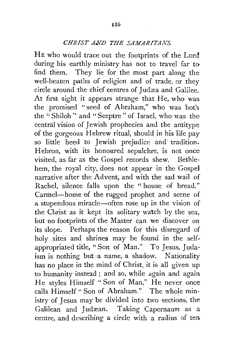## *CHRIST AUD THE SAMARITANS.*

HE who would trace out the footprints of the Lord during his earthly ministry has not to travel far to find them. They lie for the most part along the well-beaten paths of religion and of trade, or they circle around the chief centres of Judæa and Galilee. At first sight it appears strange that He, who was. the promised "seed of Abraham," who was both the "Shiloh" and "Sceptre" of Israel, who was the central vision of Jewish prophecies and the antitype of the gorgeous Hebrew ritual, should in his life pay so little heed to Jewish prejudice and· tradition. Hebron, with its honoured sepulchre, is not once visited, as far as the Gospel records shew. Bethlehem, the royal city, does not appear in the Gospel narrative after the Advent, and with the sad wail of Rachel, silence falls upon the "house of bread." Carmel-home of the rugged prophet and scene of a stupendous miracle-often rose up in the vision of the Christ as it kept its solitary watch by the sea, but no footprints of the Master can we discover on its slope. Perhaps the reason for this disregard of holy sites and shrines may be found in the selfappropriated title, "Son of Man." To Jesus, Judaism is nothing but ·a name, a shadow. Nationality has no place in the mind of Christ, it is all given up to humanity instead ; and so, while again and again He styles Himself "Son of Man," He never once calls Himself "Son of Abraham." The whole ministry of Jesus may be divided into two sections, the Galilean and Judæan. Taking Capernaum as a centre, and describing a circle with a radius of ten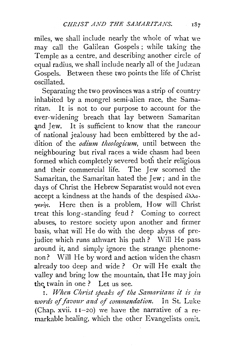miles, we shall include nearly the whole of what we may call the Galilean Gospels ; while taking the Temple as a centre, and describing another circle of equal radius, we shall include nearly all of the Judæan Gospels. Between these two points the life of Christ oscillated.

Separating the two provinces was a strip of country inhabited by a mongrel semi-alien race, the Samaritan. It is not to our purpose to account for the ever-widening breach that lay between Samaritan and Jew. It is sufficient to know that the rancour of national jealousy had been embittered by the ad dition of the *odium theologicum*, until between the neighbouring but rival races a wide chasm had been formed which completely severed both their religious and their commercial life. The Jew scorned the Samaritan, the Samaritan hated the Jew ; and in the days of Christ the Hebrew Separatist would not even accept a kindness at the hands of the despised  $\partial \lambda$ λο $y \in \mathcal{Y}$ . Here then is a problem, How will Christ treat this long-standing feud? Coming to correct abuses, to restore society upon another and firmer basis, what will He do with the deep abyss of prejudice which runs athwart his path? Will He pass around it, and simply ignore the strange phenomenon? Will He by word and action widen the chasm already too deep and wide? Or will He exalt the valley and bring low the mountain, that He may join the twain in one? Let us see.

1. When Christ speaks of the Samaritans it is in *words* of *favour and of commendation.* In St. Luke (Chap. xvii.  $11-20$ ) we have the narrative of a remarkable healing, which the other Evangelists omit.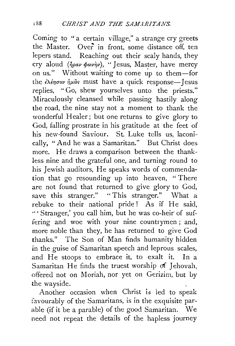Coming to "a certain village," a strange cry greets the Master. Over in front, some distance off, ten lepers stand. Reaching out their scaly hands, they cry aloud ( $\hat{\eta} \rho a \nu \phi \omega \dot{\eta} \nu$ ), "Jesus, Master, have mercy on us." Without waiting to come  $\mu$  to them-for the  $\epsilon \lambda \epsilon \eta \sigma \omega \eta \mu \hat{a} s$  must have a quick response-Jesus replies, "Go, shew yourselves unto the priests." Miraculously cleansed while passing hastily along the road, the nine stay not a moment to thank the wonderful Healer; but one returns to give glory to God, falling prostrate in his gratitude at the feet of his new-found Saviour. St. Luke tells us, laconically, "And he was a Samaritan." But Christ does more. He draws a comparison between the thankless nine and the grateful one, and turning round to his Jewish auditors, He speaks words of commendation that go resounding up into heaven, " There are not found that returned to give glory to God, save this stranger." "This stranger." What a rebuke to their national pride! As if He said, "'Stranger,' you call him, but he was co-heir· of suffering and woe with your nine countrymen ; and, more noble than they, he has returned to give God thanks." The Son of Man finds humanity hidden in the guise of Samaritan speech and leprous scales, and He stoops to embrace it, to exalt it. In a Samaritan He finds the truest worship of Jehovah, offered not on Moriah, nor yet on Gerizim, but by the wayside.

Another occasion when Christ is led to speak favourably of the Samaritans, is in the exquisite parable (if it be a parable) of the good Samaritan. We need not repeat the details of the hapless journey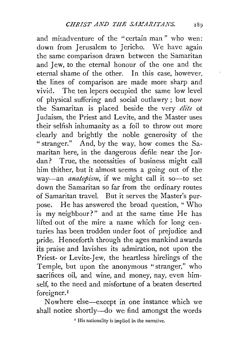and misadventure of the "certain man" who wen: down from Jerusalem to Jericho. We have again the same comparison drawn between the Samaritan and Jew, to the eternal honour of the one and the eternal shame of the other. In this case, however, the lines of comparison are made more sharp and vivid. The ten lepers occupied the same low level of physical suffering and social outlawry ; but now the Samaritan is placed beside the very *elite* ot Judaism, the Priest and Levite, and the Master uses their selfish inhumanity as a foil to throw out more clearly and brightly the noble generosity of the "stranger." And, by the way, how comes the Samaritan here, in the dangerous defile near the Jordan? True, the necessities of business might call him thither, but it almost seems a going out of the way-an *anatopism*, if we might call it so-to set down the Samaritan so far from the ordinary routes of Samaritan travel. But it serves the Master's purpose. He has answered the broad question, "Who is my neighbour?" and at the same time He has lifted out of the mire a name which for long centuries has been trodden under foot of prejudice and pride. Henceforth through the ages mankind awards its praise and lavishes its admiration, not upon the Priest- or Levite-Jew, the heartless hirelings of the Temple, but upon the anonymous "stranger," who sacrifices oil, and wine, and money, nay, even himself, to the need and misfortune of a beaten deserted foreigner. 1

Now here else-except in one instance which we shall notice shortly-do we find amongst the words

' His nationality is implied in the narrative.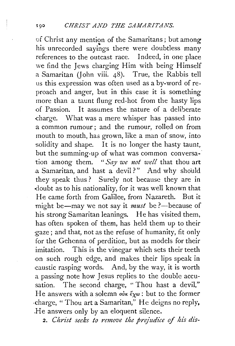of Christ any mention of the Samaritans; but among his unrecorded sayings there were doubtless many references to the outcast race. Indeed, in one place we find the Jews charging Him with being Himself a Samaritan (John viii. 48). True, the Rabbis tell us this expression was often used as a by-word of reproach and anger, but in this case it is something more than a taunt flung red-hot from the hasty lips -0f Passion. It assumes the nature of a deliberate charge. What was a mere whisper has passed into a common rumour ; and the rumour, rolled on from mouth to mouth, has grown, like a man of snow, into solidity and shape. It is no longer the hasty taunt, but the summing-up of what was common conversation among them. " *Say we not well* that thou art a Samaritan, and hast a devil?" And why should they speak thus ? Surely not because they are in doubt as to his nationality, for it was well known that He came forth from Galilee, from Nazareth. But it might be-may we not say it *must* be ?--because of his strong Samaritan leanings. He has visited them, has often spoken of them, has held them up to their gaze; and that, not as the refuse of humanity, fit only for the Gehenna of perditior., but as models for their imitation. This is the vinegar which sets their teeth on such rough edge, and makes their lips speak in ·caustic rasping words. And, by the way, it is worth a passing note how Jesus replies to the double accusation. The second charge, "Thou hast a devil," He answers with a solemn  $\omega \kappa \xi_{\chi} \omega$ : but to the former ·charge, "Thou art a Samaritan," He deigns no reply, .He answers only by an eloquent silence.

*2. Christ seeks to remove the pre/udice of* his *dis-*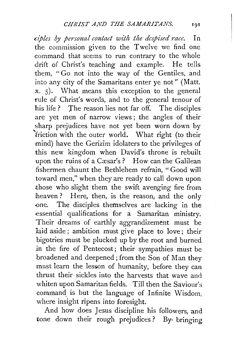*ciples by personal contact with the despised race.* In the commission given to the Twelve we find one command that seems to run contrary to the whole drift of Christ's teaching and example. He tells them, "Go not into the way of the Gentiles, and into any city of the £amaritans enter ye not" (Matt.  $x, 5$ . What means this exception to the general rule of Christ's words, and to the general tenour of his life ? The reason lies not far off. The disciples are yet men of narrow views ; the angles of their sharp prejudices have not yet been worn down by 'friction with the outer world. What right (to their mind) have the Gerizim idolaters to the privileges of this new kingdom when David's throne is rebuilt upon the ruins of a Cæsar's? How can the Galilean fishermen chaunt the Bethlehem refrain, "Good will toward men," when they are ready to call down upon those who slight them the swift avenging fire from heaven? Here, then, is the reason, and the only .one. The disciples themselves are lacking in the essential qualifications for a Samaritan ministry. Their dreams of earthly aggrandizement must be laid aside ; ambition must give place to love; their bigotries must be plucked up by the root and burned *in* the fire of Pentecost; their sympathies must be broadened and deepened ; from the Son of Man they must learn the lesson of humanity, before they can thrust their sickles into the harvests that wave and whiten upon Samaritan fields. Till then the Saviour's command is but the language of Infinite Wisdom. where insight ripens into foresight.

And how does Jesus discipline his followers, and tone down their rough prejudices ? By· bringing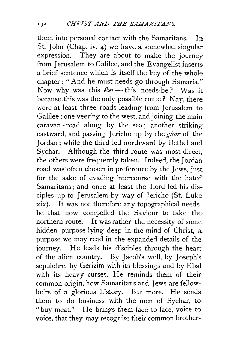them into personal contact with the Samaritans. In St. John (Chap. iv. 4) we have a somewhat singular expression. They are about to make the journey from Jerusalem to Galilee, and the Evangelist inserts a brief sentence which is itself the key of the whole chapter: "And he must needs go through Samaria." Now why was this  $\ell \delta \epsilon \ell$  - this needs-be? Was it because. this was the only possible route ? Nay, there were at least three roads leading from Jerusalem to Galilee : one veering to the west, and joining the main caravan - road along by the sea; another striking eastward, and passing Jericho up by the giver of the Jordan ; while the third led northward by Bethel and Sychar. Although the third route was most direct. the others were frequently taken. Indeed, the Jordan road was often chosen in preference by the Jews, just for the sake of evading intercourse with the hated Samaritans ; and once at least the Lord led his disciples up to Jerusalem by way of Jericho (St. Luke xix). It was not therefore any topographical needsbe that now compelled the Saviour to take the northern route. It was rather the necessity of some hidden purpose lying deep in the mind of Christ, a\_ purpose we may read in the expanded details of the journey. He leads his disciples through the heart of the alien country. By Jacob's well, by Joseph's sepulchre, by Gerizim with its blessings and by Ebal with its heavy curses, He reminds them of their common origin, how Samaritans and Jews are fellowheirs of a glorious history. But more. He sends them to do business with the men of Sychar, to "buy meat." He brings them face to face, voice to voice, that they may recognize their common brother-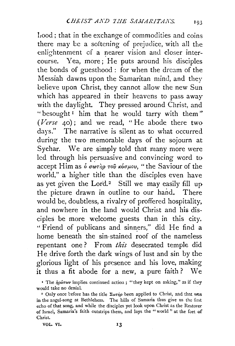llood; that in the exchange of commodities and coins there may be a softening of prejudice, with all the enlightenment of a nearer vision and closer intercourse. Yea, more; He puts around his disciples the bonds of guesthood : for when the dream of the Messiah dawns upon the Samaritan mind, and they believe upon Christ, they cannot allow the new Sun which has appeared in their heavens to pass away with the daylight. They pressed around Christ, and " besought<sup> $I$ </sup> him that he would tarry with them" *(Verse* 40); and we read, "He abode there two days." The narrative is silent as to what occurred during the two memorable days of the sojourn at Sychar. We are simply told that many more were led through his persuasive and convincing word to accept Him as *ό σωτὴρ τοῦ κόσμου*, "the Saviour of the world," a higher title than the disciples even have as yet given the Lord.<sup>2</sup> Still we may easily fill up the picture drawn in outline to our hand. There would be, doubtless, a rivalry of proffered hospitality, and now here in the land would Christ and his disciples be more welcome guests than in this city. "Friend of publicans and sinners," did He find a home beneath the sin-stained roof of the nameless repentant one? From *this* desecrated temple did He drive forth the dark wings of lust and sin by the glorious light of his presence and his love, making it thus a fit abode for a new, a pure faith ? We

<sup>&</sup>lt;sup>1</sup> The  $\dot{\eta}$ *pwrwv* implies continued action; "they kept on asking," as if they would take no denial.

<sup>&</sup>lt;sup>2</sup> Only once before has the title  $\Sigma \omega \vec{n} \rho$  been applied to Christ, and that was in the angel-song at Bethlehem. The hills of Samaria thus give us the first echo of that song, and while the disciples yet look upon Christ as the Restorer of Israel, Samaria's faith outstrips them, and lays the " world " at the feet of Christ.

VOL VI. 13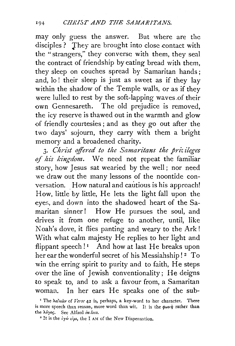may only guess the answer. But where are the disciples ? They are brought into close contact with the "strangers," they converse with them, they seal the contract of friendship by eating bread with them, they sleep on couches spread by Samaritan hands ; and, lo! their sleep is just as sweet as if they lay within the shadow of the Temple walls, or as if they were lulled to rest by the soft-lapping waves .of their own Gennesareth. The old prejudice is removed, the icy reserve is thawed out in the warmth and glow of friendly courtesies ; and as they go out after the two days' sojourn, they carry with them a bright memory and a broadened charity.

3. *Christ effered to the Samaritans the priz ilcges of his kingdom.* We need not repeat the familiar story, how Jesus sat wearied by the well; nor need we draw out the many lessons of the noontide conversation. How natural and cautious is his approach! How, little by little, He lets the light fall upon the eyes, and down into the shadowed heart of the Samaritan sinner! How He pursues the soul, and drives it from one refuge to another, until, like Noah's dove, it flies panting and weary to the Ark! With what calm majesty He replies to her light and flippant speech! $\frac{1}{1}$  And how at last He breaks upon her ear the wonderful secret of his Messiahship!<sup>2</sup> To win the erring spirit to purity and to faith, He steps over the line of Jewish conventionality; He deigns to speak to, and to ask a favour from, a Samaritan woman. In her ears He speaks one of the sub-

<sup>&</sup>lt;sup>1</sup> The  $\lambda a \lambda u \dot{a} v$  of *Verse* 42 is, perhaps, a key-word to her character. There is more speech than reason, more word than wit. It is the  $\phi\omega v\dot{\eta}$  rather than the λόγος. See Alford *in loco*.

<sup>&</sup>lt;sup>2</sup> It is the  $i\gamma\omega\sin\theta$ , the I AM of the New Dispensation.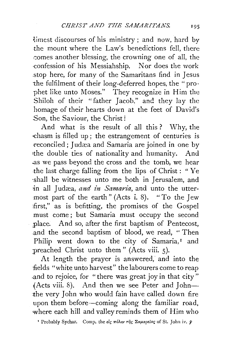limest discourses of his ministry ; and now, hard by the mount where the Law's benedictions fell, there comes another blessing, the crowning one of all, the ·confession of his Messiahship. Nor does the work .stop here, for many of the Samaritans find in Jesus the fulfilment of their long-deferred hopes, the "prophet like unto Moses." They recognize in Him the Shiloh of their "father Jacob." and they lay the homage of their hearts down at the feet of David's Son, the Saviour, the Christ!

And what is the result of all this ? Why, the -chasm is filled up ; the estrangement of centuries is reconciled; Judæa and Samaria are joined in one by 1the double ties of nationality and humanity. And . .as we pass beyond the cross and the tomb, we hear .the last charge falling from the lips of Christ : " Ye ·shall be witnesses unto me both in Jerusalem, and in all Judæa, and in Samaria, and unto the uttermost part of the earth" (Acts i. 8). "To the Jew first," as is befitting, the promises of the Gospel must come ; but Samaria must occupy the second ,place. And so, after the first baptism of Pentecost, .and the second baptism of blood, we read, " Then Philip went down to the city of Samaria,<sup>1</sup> and preached Christ unto them" (Acts viii. 5).

At length the prayer is answered, and into the fields "white unto harvest" the labourers come to reap .and to rejoice, for "there was great joy in that city" (Acts viii. 8). And then we see Peter and John the very John who would fain have called down fire upon them before-coming along the familiar road, where each hill and valley reminds them of Him who

<sup>1</sup> Probably Sychar. Comp. the  $\epsilon \ell$   $\epsilon$   $\pi \delta \lambda \nu$   $\tau \tilde{\eta}$   $\epsilon$   $\Sigma \alpha \mu$ ap $\epsilon$ ias of St. John iv.  $\tilde{\tau}$